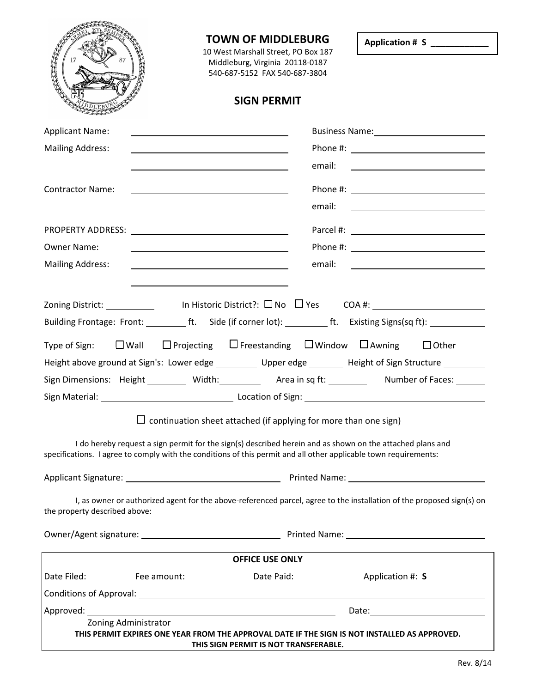|                                                                                                                                                                                                                                                                                                                    | <b>TOWN OF MIDDLEBURG</b><br>10 West Marshall Street, PO Box 187<br>Middleburg, Virginia 20118-0187<br>540-687-5152 FAX 540-687-3804   | Application # S ___________                                |  |  |  |  |  |  |
|--------------------------------------------------------------------------------------------------------------------------------------------------------------------------------------------------------------------------------------------------------------------------------------------------------------------|----------------------------------------------------------------------------------------------------------------------------------------|------------------------------------------------------------|--|--|--|--|--|--|
|                                                                                                                                                                                                                                                                                                                    | <b>SIGN PERMIT</b>                                                                                                                     |                                                            |  |  |  |  |  |  |
| <b>Applicant Name:</b>                                                                                                                                                                                                                                                                                             | <u> 1989 - Johann Barn, mars ann an t-Amhain Aonaich an t-Aonaich an t-Aonaich ann an t-Aonaich ann an t-Aonaich</u>                   |                                                            |  |  |  |  |  |  |
| <b>Mailing Address:</b>                                                                                                                                                                                                                                                                                            | <u> 1989 - Johann Barn, mars ann an t-Amhain ann an t-Amhain an t-Amhain an t-Amhain an t-Amhain an t-Amhain an t-</u>                 |                                                            |  |  |  |  |  |  |
|                                                                                                                                                                                                                                                                                                                    | <u> 1989 - Johann Barn, fransk politik (d. 1989)</u>                                                                                   |                                                            |  |  |  |  |  |  |
| <b>Contractor Name:</b>                                                                                                                                                                                                                                                                                            | <u> 1989 - Johann Barbara, martin amerikan basar dan berasal dalam basa dalam basa dalam basa dalam basa dalam b</u>                   |                                                            |  |  |  |  |  |  |
|                                                                                                                                                                                                                                                                                                                    |                                                                                                                                        |                                                            |  |  |  |  |  |  |
|                                                                                                                                                                                                                                                                                                                    |                                                                                                                                        |                                                            |  |  |  |  |  |  |
|                                                                                                                                                                                                                                                                                                                    |                                                                                                                                        |                                                            |  |  |  |  |  |  |
| <b>Owner Name:</b><br><b>Mailing Address:</b>                                                                                                                                                                                                                                                                      | <u> 1989 - Johann Barbara, martin amerikan basar dan berasal dalam basa dalam basar dalam basar dalam basa dalam</u><br>email:         |                                                            |  |  |  |  |  |  |
|                                                                                                                                                                                                                                                                                                                    |                                                                                                                                        | <u> 1980 - John Stein, mars and de Britannie (b. 1980)</u> |  |  |  |  |  |  |
|                                                                                                                                                                                                                                                                                                                    | Building Frontage: Front: ______________ft. Side (if corner lot): _______________ ft. Existing Signs(sq ft): _________________________ |                                                            |  |  |  |  |  |  |
| Type of Sign: $\Box$ Wall $\Box$ Projecting $\Box$ Freestanding $\Box$ Window $\Box$ Awning<br>$\Box$ Other<br>Height above ground at Sign's: Lower edge _________ Upper edge _______ Height of Sign Structure ________<br>Sign Dimensions: Height _______ Width: Area in sq ft: Number of Faces: Number of Faces: |                                                                                                                                        |                                                            |  |  |  |  |  |  |
|                                                                                                                                                                                                                                                                                                                    | $\Box$ continuation sheet attached (if applying for more than one sign)                                                                |                                                            |  |  |  |  |  |  |
| I do hereby request a sign permit for the sign(s) described herein and as shown on the attached plans and<br>specifications. I agree to comply with the conditions of this permit and all other applicable town requirements:                                                                                      |                                                                                                                                        |                                                            |  |  |  |  |  |  |
|                                                                                                                                                                                                                                                                                                                    |                                                                                                                                        |                                                            |  |  |  |  |  |  |
| the property described above:                                                                                                                                                                                                                                                                                      | I, as owner or authorized agent for the above-referenced parcel, agree to the installation of the proposed sign(s) on                  |                                                            |  |  |  |  |  |  |
|                                                                                                                                                                                                                                                                                                                    |                                                                                                                                        |                                                            |  |  |  |  |  |  |
|                                                                                                                                                                                                                                                                                                                    | <b>OFFICE USE ONLY</b>                                                                                                                 |                                                            |  |  |  |  |  |  |
|                                                                                                                                                                                                                                                                                                                    |                                                                                                                                        |                                                            |  |  |  |  |  |  |
|                                                                                                                                                                                                                                                                                                                    | Conditions of Approval: Law Conditions of Approval:                                                                                    |                                                            |  |  |  |  |  |  |
| Approved: 1990                                                                                                                                                                                                                                                                                                     | <u> 1989 - Johann Stoff, deutscher Stoffen und der Stoffen und der Stoffen und der Stoffen und der Stoffen und der</u>                 | Date: <u>Date: Explorer</u>                                |  |  |  |  |  |  |
| Zoning Administrator<br>THIS PERMIT EXPIRES ONE YEAR FROM THE APPROVAL DATE IF THE SIGN IS NOT INSTALLED AS APPROVED.<br>THIS SIGN PERMIT IS NOT TRANSFERABLE.                                                                                                                                                     |                                                                                                                                        |                                                            |  |  |  |  |  |  |